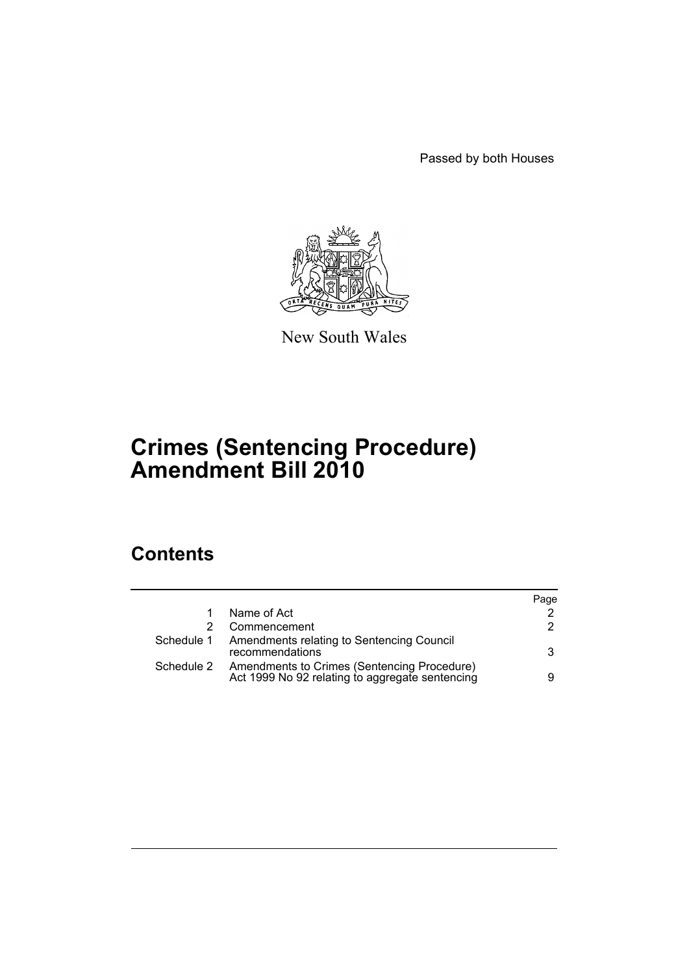Passed by both Houses



New South Wales

## **Crimes (Sentencing Procedure) Amendment Bill 2010**

## **Contents**

|            |                                                                                                | Page |
|------------|------------------------------------------------------------------------------------------------|------|
|            | Name of Act                                                                                    | 2    |
|            | Commencement                                                                                   | 2    |
|            | Schedule 1 Amendments relating to Sentencing Council<br>recommendations                        | 3    |
| Schedule 2 | Amendments to Crimes (Sentencing Procedure)<br>Act 1999 No 92 relating to aggregate sentencing | 9    |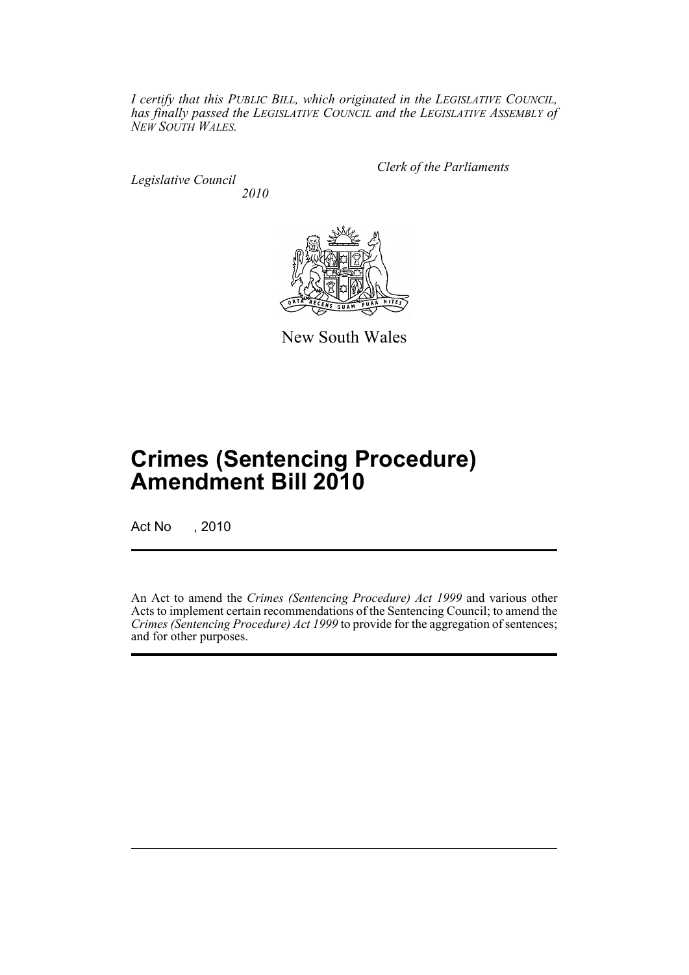*I certify that this PUBLIC BILL, which originated in the LEGISLATIVE COUNCIL, has finally passed the LEGISLATIVE COUNCIL and the LEGISLATIVE ASSEMBLY of NEW SOUTH WALES.*

*Legislative Council 2010* *Clerk of the Parliaments*



New South Wales

# **Crimes (Sentencing Procedure) Amendment Bill 2010**

Act No , 2010

An Act to amend the *Crimes (Sentencing Procedure) Act 1999* and various other Acts to implement certain recommendations of the Sentencing Council; to amend the *Crimes (Sentencing Procedure) Act 1999* to provide for the aggregation of sentences; and for other purposes.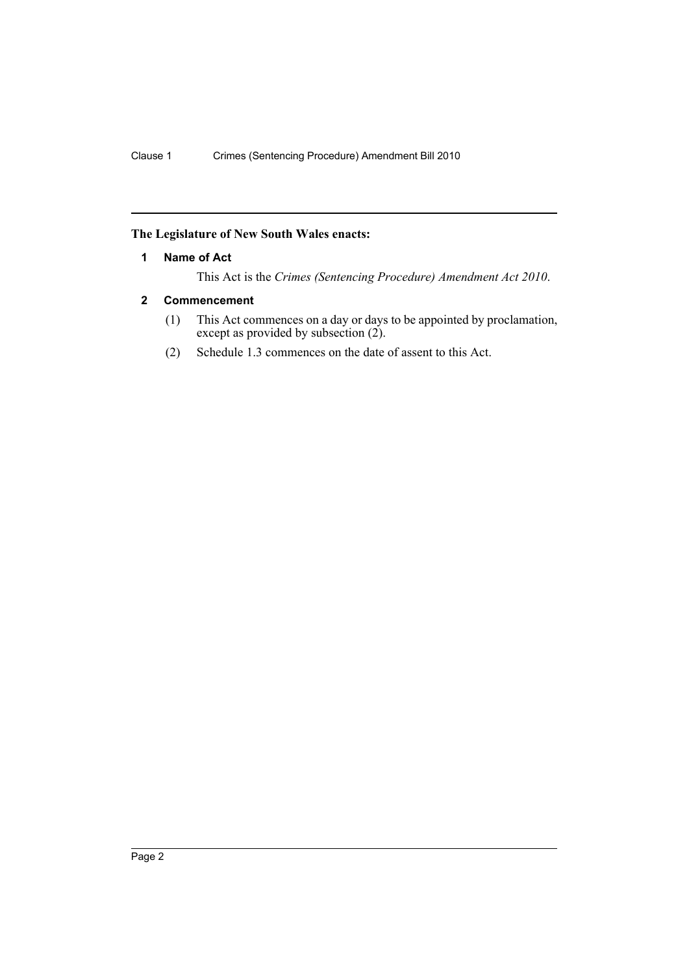#### <span id="page-3-0"></span>**The Legislature of New South Wales enacts:**

#### **1 Name of Act**

This Act is the *Crimes (Sentencing Procedure) Amendment Act 2010*.

## <span id="page-3-1"></span>**2 Commencement**

- (1) This Act commences on a day or days to be appointed by proclamation, except as provided by subsection (2).
- (2) Schedule 1.3 commences on the date of assent to this Act.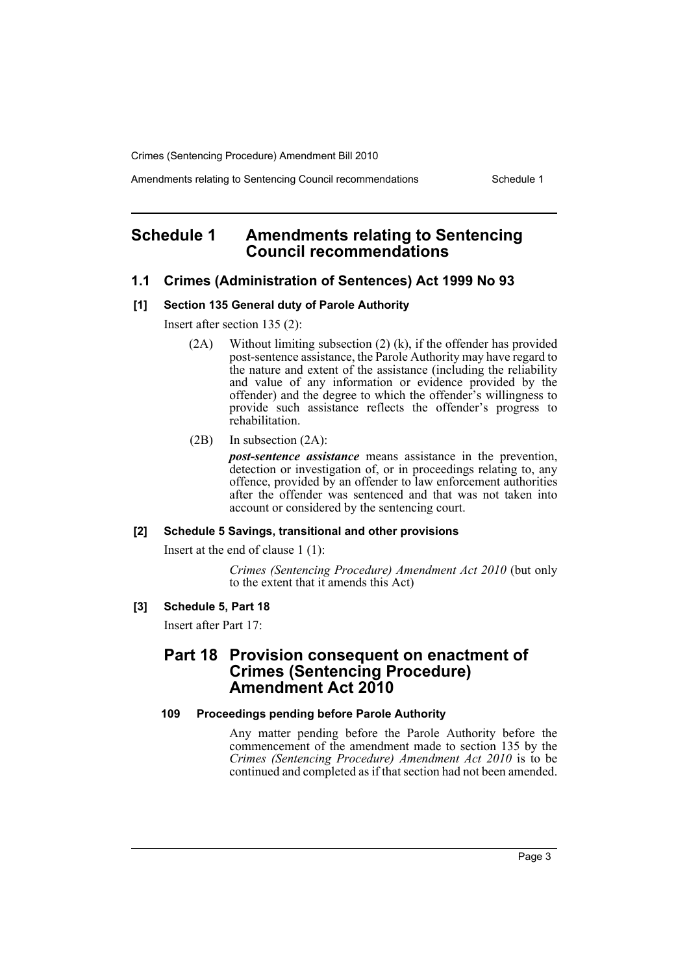Amendments relating to Sentencing Council recommendations Schedule 1

## <span id="page-4-0"></span>**Schedule 1 Amendments relating to Sentencing Council recommendations**

#### **1.1 Crimes (Administration of Sentences) Act 1999 No 93**

#### **[1] Section 135 General duty of Parole Authority**

Insert after section 135 (2):

- (2A) Without limiting subsection (2) (k), if the offender has provided post-sentence assistance, the Parole Authority may have regard to the nature and extent of the assistance (including the reliability and value of any information or evidence provided by the offender) and the degree to which the offender's willingness to provide such assistance reflects the offender's progress to rehabilitation.
- (2B) In subsection (2A):

*post-sentence assistance* means assistance in the prevention, detection or investigation of, or in proceedings relating to, any offence, provided by an offender to law enforcement authorities after the offender was sentenced and that was not taken into account or considered by the sentencing court.

#### **[2] Schedule 5 Savings, transitional and other provisions**

Insert at the end of clause 1 (1):

*Crimes (Sentencing Procedure) Amendment Act 2010* (but only to the extent that it amends this Act)

#### **[3] Schedule 5, Part 18**

Insert after Part 17:

## **Part 18 Provision consequent on enactment of Crimes (Sentencing Procedure) Amendment Act 2010**

#### **109 Proceedings pending before Parole Authority**

Any matter pending before the Parole Authority before the commencement of the amendment made to section 135 by the *Crimes (Sentencing Procedure) Amendment Act 2010* is to be continued and completed as if that section had not been amended.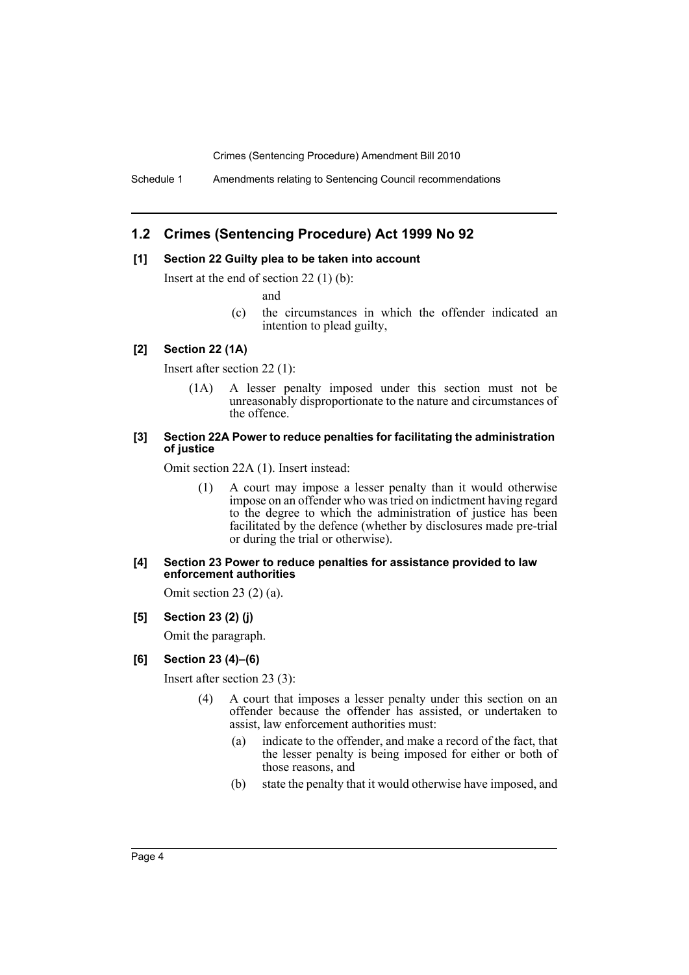Schedule 1 Amendments relating to Sentencing Council recommendations

## **1.2 Crimes (Sentencing Procedure) Act 1999 No 92**

#### **[1] Section 22 Guilty plea to be taken into account**

Insert at the end of section 22 (1) (b):

and

(c) the circumstances in which the offender indicated an intention to plead guilty,

### **[2] Section 22 (1A)**

Insert after section 22 (1):

(1A) A lesser penalty imposed under this section must not be unreasonably disproportionate to the nature and circumstances of the offence.

#### **[3] Section 22A Power to reduce penalties for facilitating the administration of justice**

Omit section 22A (1). Insert instead:

(1) A court may impose a lesser penalty than it would otherwise impose on an offender who was tried on indictment having regard to the degree to which the administration of justice has been facilitated by the defence (whether by disclosures made pre-trial or during the trial or otherwise).

#### **[4] Section 23 Power to reduce penalties for assistance provided to law enforcement authorities**

Omit section 23 $(2)$  $(a)$ .

#### **[5] Section 23 (2) (j)**

Omit the paragraph.

#### **[6] Section 23 (4)–(6)**

Insert after section 23 (3):

- (4) A court that imposes a lesser penalty under this section on an offender because the offender has assisted, or undertaken to assist, law enforcement authorities must:
	- (a) indicate to the offender, and make a record of the fact, that the lesser penalty is being imposed for either or both of those reasons, and
	- (b) state the penalty that it would otherwise have imposed, and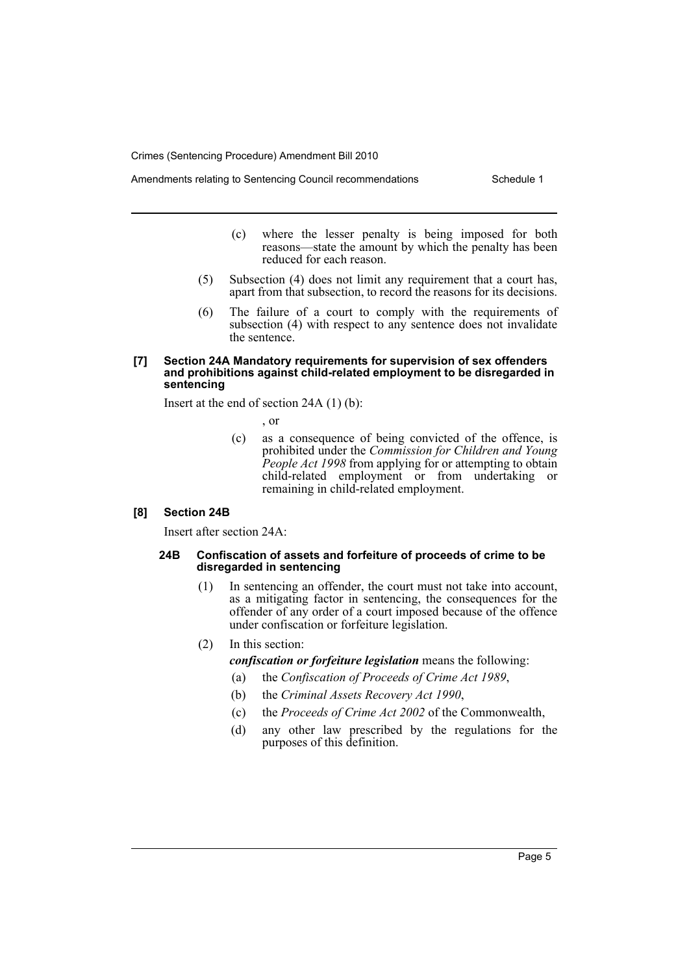Amendments relating to Sentencing Council recommendations Schedule 1

- - (c) where the lesser penalty is being imposed for both reasons—state the amount by which the penalty has been reduced for each reason.
	- (5) Subsection (4) does not limit any requirement that a court has, apart from that subsection, to record the reasons for its decisions.
	- (6) The failure of a court to comply with the requirements of subsection (4) with respect to any sentence does not invalidate the sentence.

#### **[7] Section 24A Mandatory requirements for supervision of sex offenders and prohibitions against child-related employment to be disregarded in sentencing**

Insert at the end of section 24A (1) (b):

, or

(c) as a consequence of being convicted of the offence, is prohibited under the *Commission for Children and Young People Act 1998* from applying for or attempting to obtain child-related employment or from undertaking or remaining in child-related employment.

#### **[8] Section 24B**

Insert after section 24A:

#### **24B Confiscation of assets and forfeiture of proceeds of crime to be disregarded in sentencing**

- (1) In sentencing an offender, the court must not take into account, as a mitigating factor in sentencing, the consequences for the offender of any order of a court imposed because of the offence under confiscation or forfeiture legislation.
- (2) In this section:

*confiscation or forfeiture legislation* means the following:

- (a) the *Confiscation of Proceeds of Crime Act 1989*,
- (b) the *Criminal Assets Recovery Act 1990*,
- (c) the *Proceeds of Crime Act 2002* of the Commonwealth,
- (d) any other law prescribed by the regulations for the purposes of this definition.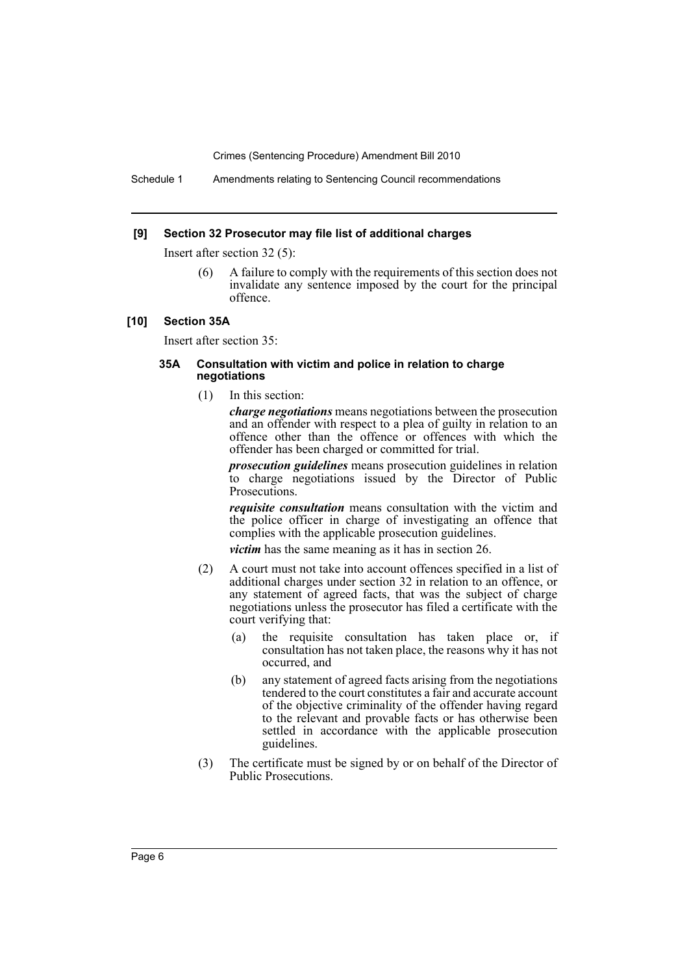Schedule 1 Amendments relating to Sentencing Council recommendations

#### **[9] Section 32 Prosecutor may file list of additional charges**

Insert after section 32 (5):

(6) A failure to comply with the requirements of this section does not invalidate any sentence imposed by the court for the principal offence.

#### **[10] Section 35A**

Insert after section 35:

#### **35A Consultation with victim and police in relation to charge negotiations**

(1) In this section:

*charge negotiations* means negotiations between the prosecution and an offender with respect to a plea of guilty in relation to an offence other than the offence or offences with which the offender has been charged or committed for trial.

*prosecution guidelines* means prosecution guidelines in relation to charge negotiations issued by the Director of Public Prosecutions.

*requisite consultation* means consultation with the victim and the police officer in charge of investigating an offence that complies with the applicable prosecution guidelines.

*victim* has the same meaning as it has in section 26.

- (2) A court must not take into account offences specified in a list of additional charges under section 32 in relation to an offence, or any statement of agreed facts, that was the subject of charge negotiations unless the prosecutor has filed a certificate with the court verifying that:
	- (a) the requisite consultation has taken place or, if consultation has not taken place, the reasons why it has not occurred, and
	- (b) any statement of agreed facts arising from the negotiations tendered to the court constitutes a fair and accurate account of the objective criminality of the offender having regard to the relevant and provable facts or has otherwise been settled in accordance with the applicable prosecution guidelines.
- (3) The certificate must be signed by or on behalf of the Director of Public Prosecutions.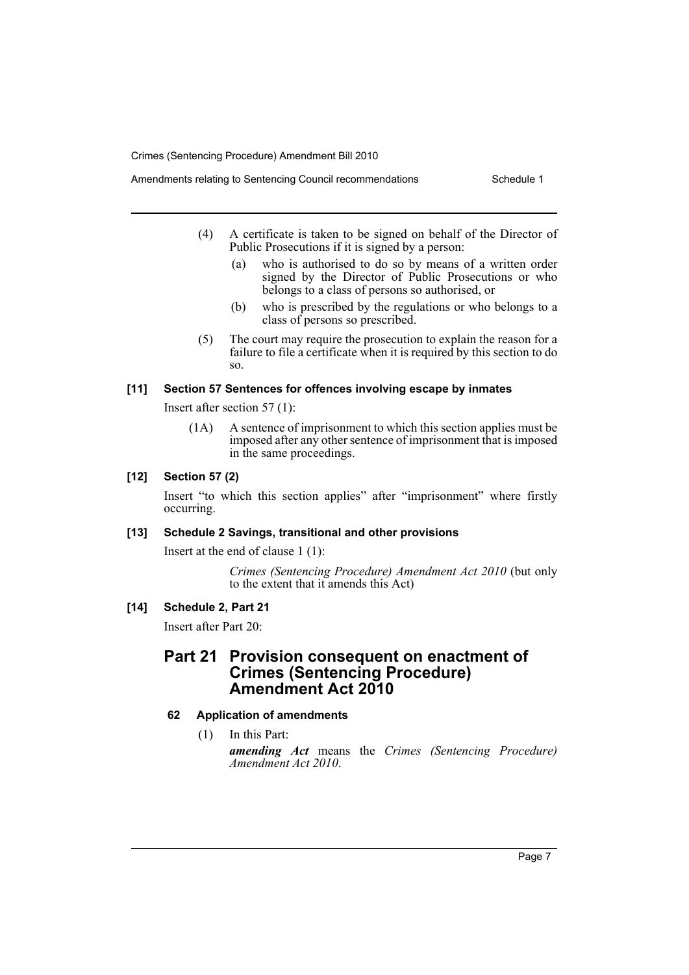- (4) A certificate is taken to be signed on behalf of the Director of Public Prosecutions if it is signed by a person:
	- (a) who is authorised to do so by means of a written order signed by the Director of Public Prosecutions or who belongs to a class of persons so authorised, or
	- (b) who is prescribed by the regulations or who belongs to a class of persons so prescribed.
	- (5) The court may require the prosecution to explain the reason for a failure to file a certificate when it is required by this section to do so.

#### **[11] Section 57 Sentences for offences involving escape by inmates**

Insert after section 57 (1):

(1A) A sentence of imprisonment to which this section applies must be imposed after any other sentence of imprisonment that is imposed in the same proceedings.

#### **[12] Section 57 (2)**

Insert "to which this section applies" after "imprisonment" where firstly occurring.

#### **[13] Schedule 2 Savings, transitional and other provisions**

Insert at the end of clause 1 (1):

*Crimes (Sentencing Procedure) Amendment Act 2010* (but only to the extent that it amends this Act)

#### **[14] Schedule 2, Part 21**

Insert after Part 20:

## **Part 21 Provision consequent on enactment of Crimes (Sentencing Procedure) Amendment Act 2010**

#### **62 Application of amendments**

(1) In this Part: *amending Act* means the *Crimes (Sentencing Procedure) Amendment Act 2010*.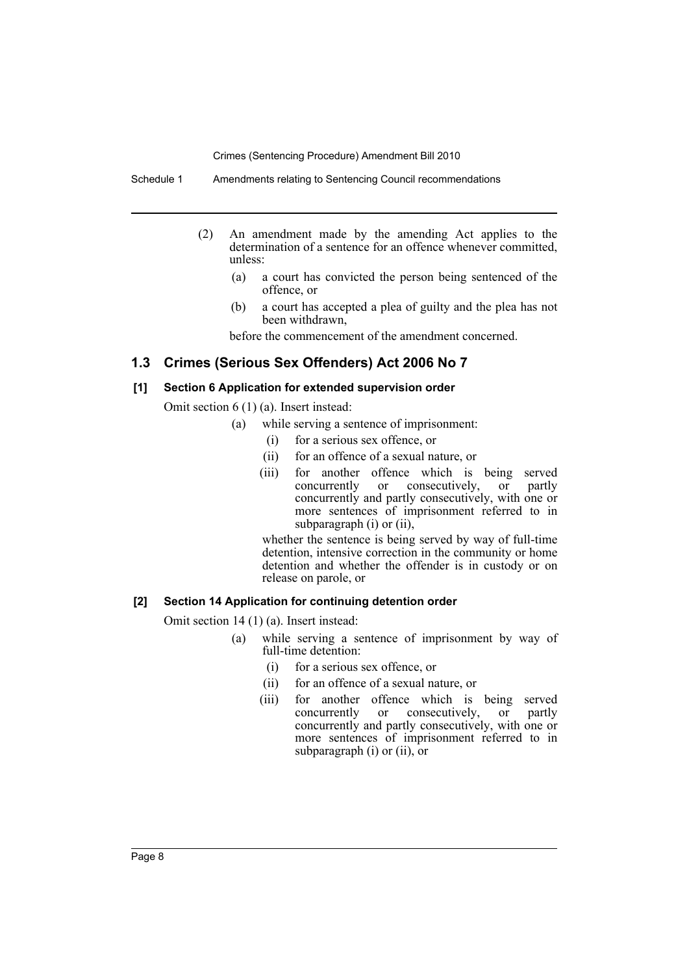Schedule 1 Amendments relating to Sentencing Council recommendations

- (2) An amendment made by the amending Act applies to the determination of a sentence for an offence whenever committed, unless:
	- (a) a court has convicted the person being sentenced of the offence, or
	- (b) a court has accepted a plea of guilty and the plea has not been withdrawn,

before the commencement of the amendment concerned.

## **1.3 Crimes (Serious Sex Offenders) Act 2006 No 7**

#### **[1] Section 6 Application for extended supervision order**

Omit section 6 (1) (a). Insert instead:

- (a) while serving a sentence of imprisonment:
	- (i) for a serious sex offence, or
	- (ii) for an offence of a sexual nature, or
	- (iii) for another offence which is being served concurrently or consecutively, or partly concurrently and partly consecutively, with one or more sentences of imprisonment referred to in subparagraph (i) or (ii),

whether the sentence is being served by way of full-time detention, intensive correction in the community or home detention and whether the offender is in custody or on release on parole, or

### **[2] Section 14 Application for continuing detention order**

Omit section 14 (1) (a). Insert instead:

- (a) while serving a sentence of imprisonment by way of full-time detention:
	- (i) for a serious sex offence, or
	- (ii) for an offence of a sexual nature, or
	- (iii) for another offence which is being served concurrently or consecutively, or partly concurrently and partly consecutively, with one or more sentences of imprisonment referred to in subparagraph (i) or (ii), or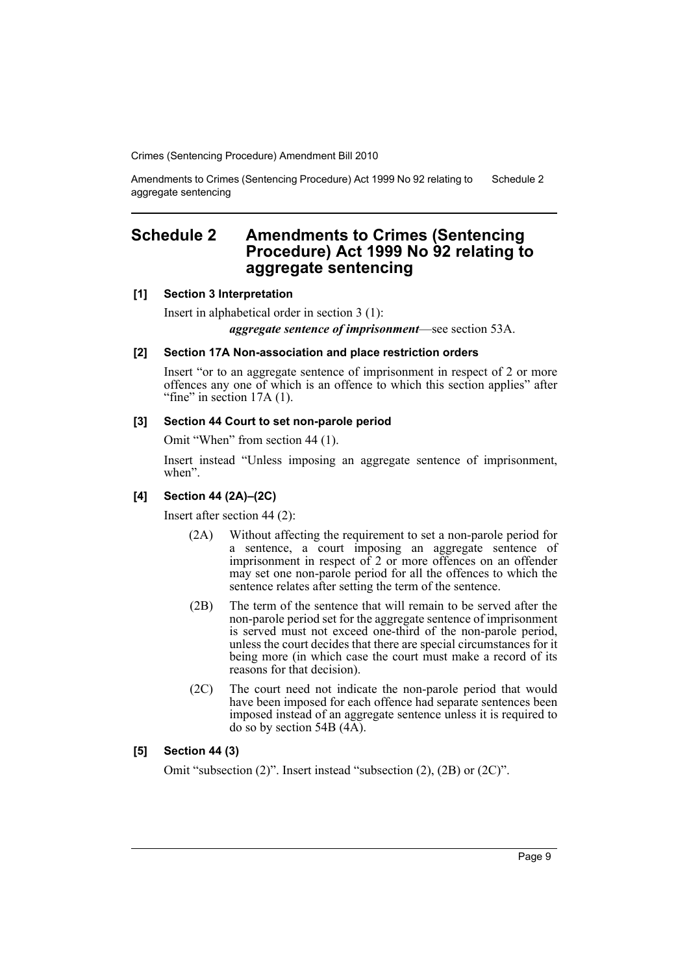Amendments to Crimes (Sentencing Procedure) Act 1999 No 92 relating to aggregate sentencing Schedule 2

## <span id="page-10-0"></span>**Schedule 2 Amendments to Crimes (Sentencing Procedure) Act 1999 No 92 relating to aggregate sentencing**

#### **[1] Section 3 Interpretation**

Insert in alphabetical order in section 3 (1):

*aggregate sentence of imprisonment*—see section 53A.

#### **[2] Section 17A Non-association and place restriction orders**

Insert "or to an aggregate sentence of imprisonment in respect of 2 or more offences any one of which is an offence to which this section applies" after "fine" in section  $17A(1)$ .

#### **[3] Section 44 Court to set non-parole period**

Omit "When" from section 44 (1).

Insert instead "Unless imposing an aggregate sentence of imprisonment, when".

#### **[4] Section 44 (2A)–(2C)**

Insert after section 44 (2):

- (2A) Without affecting the requirement to set a non-parole period for a sentence, a court imposing an aggregate sentence of imprisonment in respect of 2 or more offences on an offender may set one non-parole period for all the offences to which the sentence relates after setting the term of the sentence.
- (2B) The term of the sentence that will remain to be served after the non-parole period set for the aggregate sentence of imprisonment is served must not exceed one-third of the non-parole period, unless the court decides that there are special circumstances for it being more (in which case the court must make a record of its reasons for that decision).
- (2C) The court need not indicate the non-parole period that would have been imposed for each offence had separate sentences been imposed instead of an aggregate sentence unless it is required to do so by section 54B  $(4\overline{A})$ .

#### **[5] Section 44 (3)**

Omit "subsection (2)". Insert instead "subsection (2), (2B) or (2C)".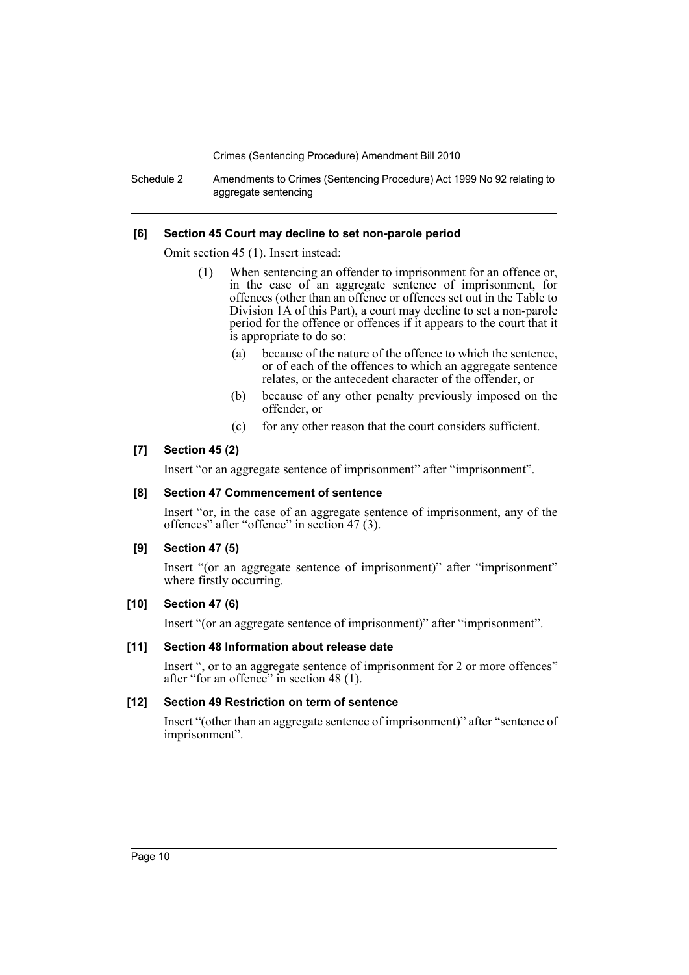Schedule 2 Amendments to Crimes (Sentencing Procedure) Act 1999 No 92 relating to aggregate sentencing

#### **[6] Section 45 Court may decline to set non-parole period**

Omit section 45 (1). Insert instead:

- (1) When sentencing an offender to imprisonment for an offence or, in the case of an aggregate sentence of imprisonment, for offences (other than an offence or offences set out in the Table to Division 1A of this Part), a court may decline to set a non-parole period for the offence or offences if it appears to the court that it is appropriate to do so:
	- (a) because of the nature of the offence to which the sentence, or of each of the offences to which an aggregate sentence relates, or the antecedent character of the offender, or
	- (b) because of any other penalty previously imposed on the offender, or
	- (c) for any other reason that the court considers sufficient.

#### **[7] Section 45 (2)**

Insert "or an aggregate sentence of imprisonment" after "imprisonment".

#### **[8] Section 47 Commencement of sentence**

Insert "or, in the case of an aggregate sentence of imprisonment, any of the offences" after "offence" in section 47 (3).

#### **[9] Section 47 (5)**

Insert "(or an aggregate sentence of imprisonment)" after "imprisonment" where firstly occurring.

#### **[10] Section 47 (6)**

Insert "(or an aggregate sentence of imprisonment)" after "imprisonment".

#### **[11] Section 48 Information about release date**

Insert ", or to an aggregate sentence of imprisonment for 2 or more offences" after "for an offence" in section 48 (1).

## **[12] Section 49 Restriction on term of sentence**

Insert "(other than an aggregate sentence of imprisonment)" after "sentence of imprisonment".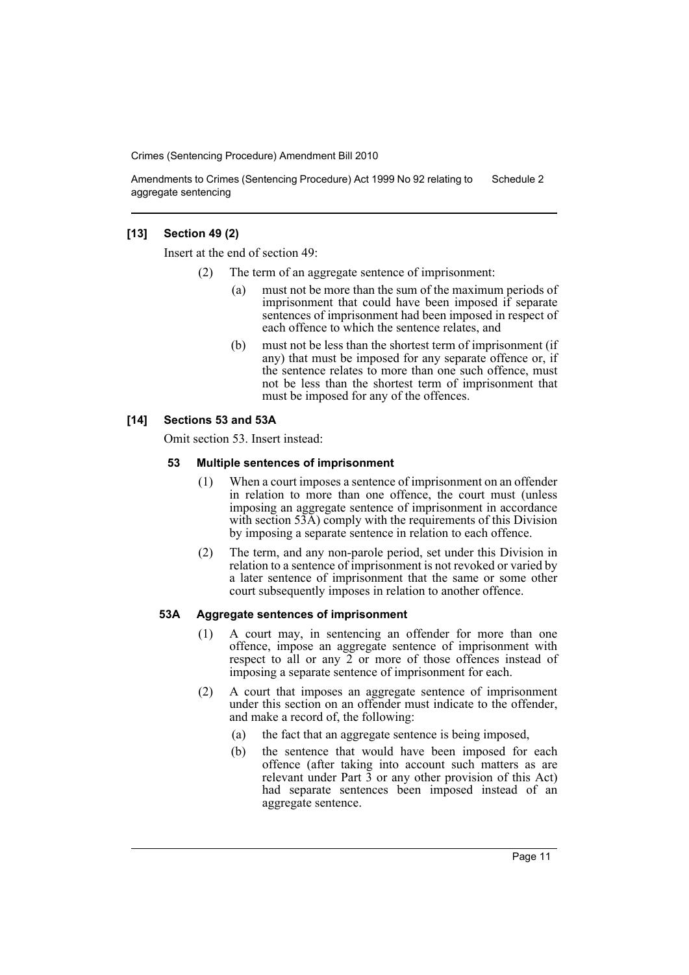Amendments to Crimes (Sentencing Procedure) Act 1999 No 92 relating to aggregate sentencing Schedule 2

#### **[13] Section 49 (2)**

Insert at the end of section 49:

- The term of an aggregate sentence of imprisonment:
	- (a) must not be more than the sum of the maximum periods of imprisonment that could have been imposed if separate sentences of imprisonment had been imposed in respect of each offence to which the sentence relates, and
	- (b) must not be less than the shortest term of imprisonment (if any) that must be imposed for any separate offence or, if the sentence relates to more than one such offence, must not be less than the shortest term of imprisonment that must be imposed for any of the offences.

#### **[14] Sections 53 and 53A**

Omit section 53. Insert instead:

#### **53 Multiple sentences of imprisonment**

- (1) When a court imposes a sentence of imprisonment on an offender in relation to more than one offence, the court must (unless imposing an aggregate sentence of imprisonment in accordance with section 53A) comply with the requirements of this Division by imposing a separate sentence in relation to each offence.
- (2) The term, and any non-parole period, set under this Division in relation to a sentence of imprisonment is not revoked or varied by a later sentence of imprisonment that the same or some other court subsequently imposes in relation to another offence.

#### **53A Aggregate sentences of imprisonment**

- (1) A court may, in sentencing an offender for more than one offence, impose an aggregate sentence of imprisonment with respect to all or any 2 or more of those offences instead of imposing a separate sentence of imprisonment for each.
- (2) A court that imposes an aggregate sentence of imprisonment under this section on an offender must indicate to the offender, and make a record of, the following:
	- (a) the fact that an aggregate sentence is being imposed,
	- (b) the sentence that would have been imposed for each offence (after taking into account such matters as are relevant under Part  $\bar{3}$  or any other provision of this Act) had separate sentences been imposed instead of an aggregate sentence.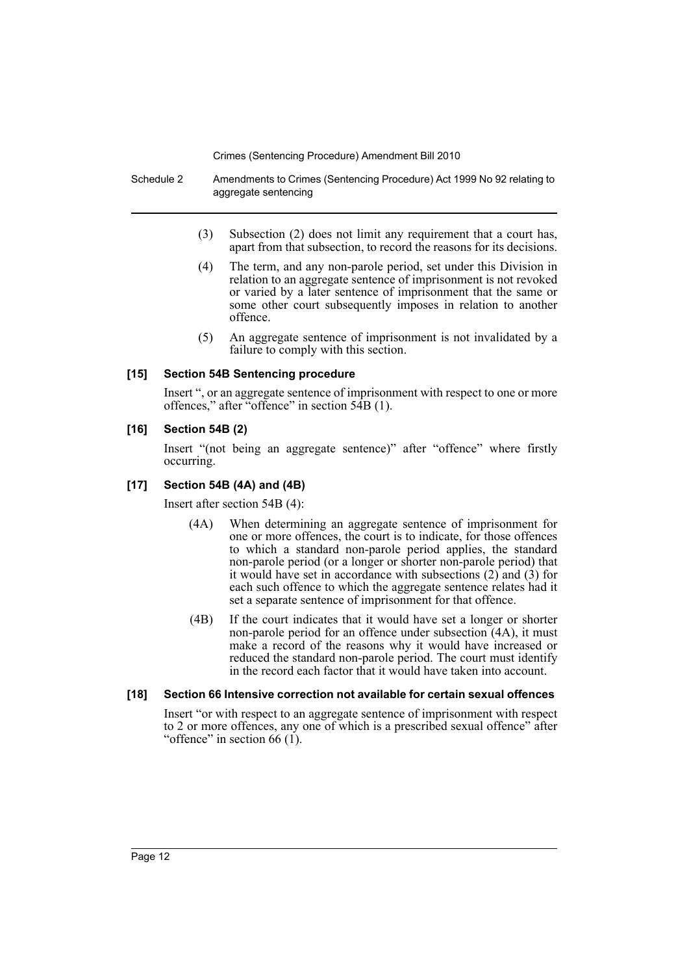Schedule 2 Amendments to Crimes (Sentencing Procedure) Act 1999 No 92 relating to aggregate sentencing

- (3) Subsection (2) does not limit any requirement that a court has, apart from that subsection, to record the reasons for its decisions.
- (4) The term, and any non-parole period, set under this Division in relation to an aggregate sentence of imprisonment is not revoked or varied by a later sentence of imprisonment that the same or some other court subsequently imposes in relation to another offence.
- (5) An aggregate sentence of imprisonment is not invalidated by a failure to comply with this section.

#### **[15] Section 54B Sentencing procedure**

Insert ", or an aggregate sentence of imprisonment with respect to one or more offences," after "offence" in section 54B (1).

#### **[16] Section 54B (2)**

Insert "(not being an aggregate sentence)" after "offence" where firstly occurring.

#### **[17] Section 54B (4A) and (4B)**

Insert after section 54B (4):

- (4A) When determining an aggregate sentence of imprisonment for one or more offences, the court is to indicate, for those offences to which a standard non-parole period applies, the standard non-parole period (or a longer or shorter non-parole period) that it would have set in accordance with subsections (2) and (3) for each such offence to which the aggregate sentence relates had it set a separate sentence of imprisonment for that offence.
- (4B) If the court indicates that it would have set a longer or shorter non-parole period for an offence under subsection (4A), it must make a record of the reasons why it would have increased or reduced the standard non-parole period. The court must identify in the record each factor that it would have taken into account.

#### **[18] Section 66 Intensive correction not available for certain sexual offences**

Insert "or with respect to an aggregate sentence of imprisonment with respect to 2 or more offences, any one of which is a prescribed sexual offence" after "offence" in section  $66$  (1).